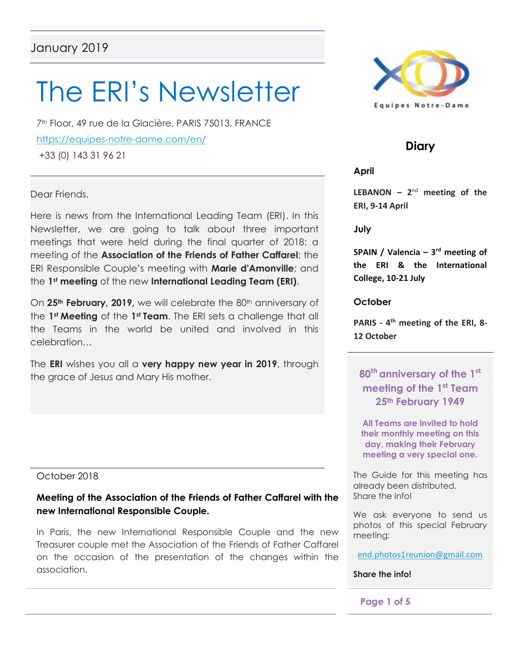# The ERI's Newsletter

7th Floor, 49 rue de la Glacière, PARIS 75013, FRANCE https://equipes-notre-dame.com/en/ +33 (0) 143 31 96 21

Dear Friends,

Here is news from the International Leading Team (ERI). In this Newsletter, we are going to talk about three important meetings that were held during the final quarter of 2018: a meeting of the **Association of the Friends of Father Caffarel**; the ERI Responsible Couple's meeting with **Marie d'Amonville**; and the **1st meeting** of the new **International Leading Team (ERI)**.

On 25<sup>th</sup> **February, 2019,** we will celebrate the 80<sup>th</sup> anniversary of the **1st Meeting** of the **1st Team**. The ERI sets a challenge that all the Teams in the world be united and involved in this celebration…

The **ERI** wishes you all a **very happy new year in 2019**, through the grace of Jesus and Mary His mother.

## October 2018

## **Meeting of the Association of the Friends of Father Caffarel with the new International Responsible Couple.**

In Paris, the new International Responsible Couple and the new Treasurer couple met the Association of the Friends of Father Caffarel on the occasion of the presentation of the changes within the association.



# **Diary**

**April**

**LEBANON**  $- 2^{nd}$  meeting of the **ERI, 9-14 April**

**July**

**SPAIN / Valencia – 3 rd meeting of the ERI & the International College, 10-21 July**

**October**

**PARIS - 4 th meeting of the ERI, 8- 12 October**

**80th anniversary of the 1st meeting of the 1 st Team 25th February 1949**

**All Teams are invited to hold their monthly meeting on this day, making their February meeting a very special one.**

The Guide for this meeting has already been distributed. Share the info!

We ask everyone to send us photos of this special February meeting:

[end.photos1reunion@gmail.com](mailto:end.photos1reunion@gmail.com)

#### **Share the info!**

#### **Page 1 of 5**

ł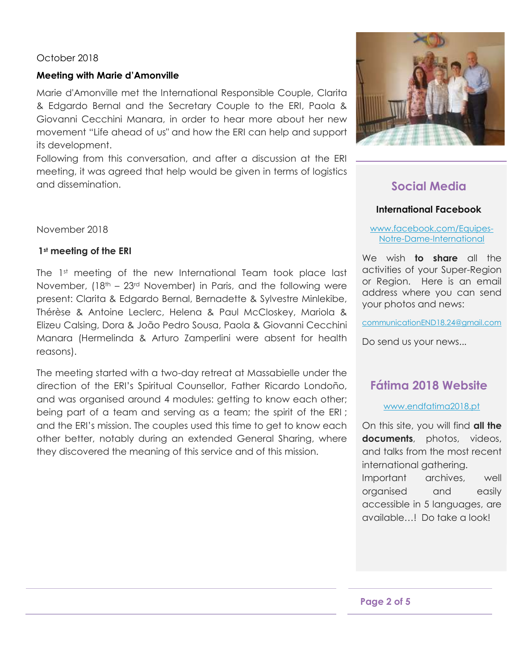## October 2018

#### **Meeting with Marie d'Amonville**

Marie d'Amonville met the International Responsible Couple, Clarita & Edgardo Bernal and the Secretary Couple to the ERI, Paola & Giovanni Cecchini Manara, in order to hear more about her new movement "Life ahead of us" and how the ERI can help and support its development.

Following from this conversation, and after a discussion at the ERI meeting, it was agreed that help would be given in terms of logistics and dissemination.



## **1st meeting of the ERI**

The 1<sup>st</sup> meeting of the new International Team took place last November,  $(18<sup>th</sup> - 23<sup>rd</sup>$  November) in Paris, and the following were present: Clarita & Edgardo Bernal, Bernadette & Sylvestre Minlekibe, Thérèse & Antoine Leclerc, Helena & Paul McCloskey, Mariola & Elizeu Calsing, Dora & João Pedro Sousa, Paola & Giovanni Cecchini Manara (Hermelinda & Arturo Zamperlini were absent for health reasons).

The meeting started with a two-day retreat at Massabielle under the direction of the ERI's Spiritual Counsellor, Father Ricardo Londoño, and was organised around 4 modules: getting to know each other; being part of a team and serving as a team; the spirit of the ERI; and the ERI's mission. The couples used this time to get to know each other better, notably during an extended General Sharing, where they discovered the meaning of this service and of this mission.



# **Social Media**

## **International Facebook**

#### [www.facebook.com/Equipes-](http://www.facebook.com/Equipes-Notre-Dame-International)[Notre-Dame-International](http://www.facebook.com/Equipes-Notre-Dame-International)

We wish **to share** all the activities of your Super-Region or Region. Here is an email address where you can send your photos and news:

[communicationEND18.24@gmail.com](mailto:communicationEND18.24@gmail.com)

Do send us your news...

## **Fátima 2018 Website**

#### [www.endfatima2018.pt](http://www.endfatima2018.pt/)

On this site, you will find **all the documents**, photos, videos, and talks from the most recent international gathering. Important archives, well organised and easily accessible in 5 languages, are available…! Do take a look!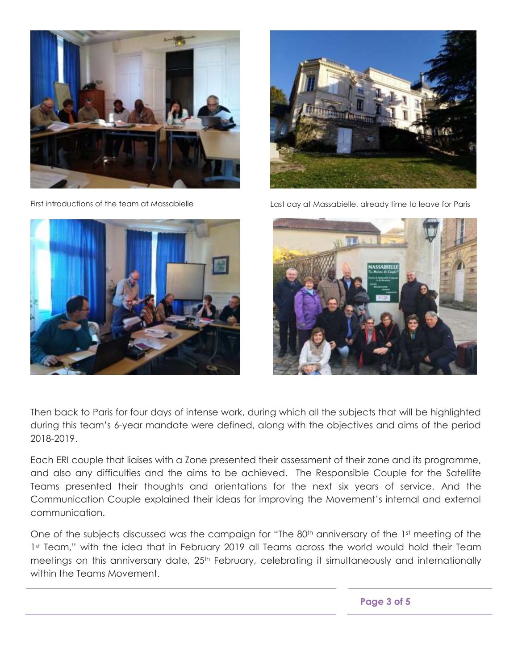





First introductions of the team at Massabielle Last day at Massabielle, already time to leave for Paris



Then back to Paris for four days of intense work, during which all the subjects that will be highlighted during this team's 6-year mandate were defined, along with the objectives and aims of the period 2018-2019.

Each ERI couple that liaises with a Zone presented their assessment of their zone and its programme, and also any difficulties and the aims to be achieved. The Responsible Couple for the Satellite Teams presented their thoughts and orientations for the next six years of service. And the Communication Couple explained their ideas for improving the Movement's internal and external communication.

One of the subjects discussed was the campaign for "The 80<sup>th</sup> anniversary of the 1st meeting of the 1st Team," with the idea that in February 2019 all Teams across the world would hold their Team meetings on this anniversary date, 25<sup>th</sup> February, celebrating it simultaneously and internationally within the Teams Movement.

**Page 3 of 5**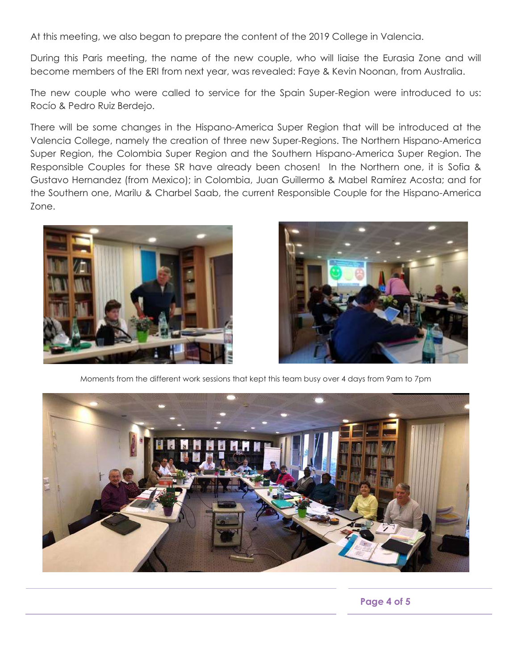At this meeting, we also began to prepare the content of the 2019 College in Valencia.

During this Paris meeting, the name of the new couple, who will liaise the Eurasia Zone and will become members of the ERI from next year, was revealed: Faye & Kevin Noonan, from Australia.

The new couple who were called to service for the Spain Super-Region were introduced to us: Rocío & Pedro Ruiz Berdejo.

There will be some changes in the Hispano-America Super Region that will be introduced at the Valencia College, namely the creation of three new Super-Regions. The Northern Hispano-America Super Region, the Colombia Super Region and the Southern Hispano-America Super Region. The Responsible Couples for these SR have already been chosen! In the Northern one, it is Sofia & Gustavo Hernandez (from Mexico); in Colombia, Juan Guillermo & Mabel Ramírez Acosta; and for the Southern one, Marilu & Charbel Saab, the current Responsible Couple for the Hispano-America Zone.





Moments from the different work sessions that kept this team busy over 4 days from 9am to 7pm



**Page 4 of 5**